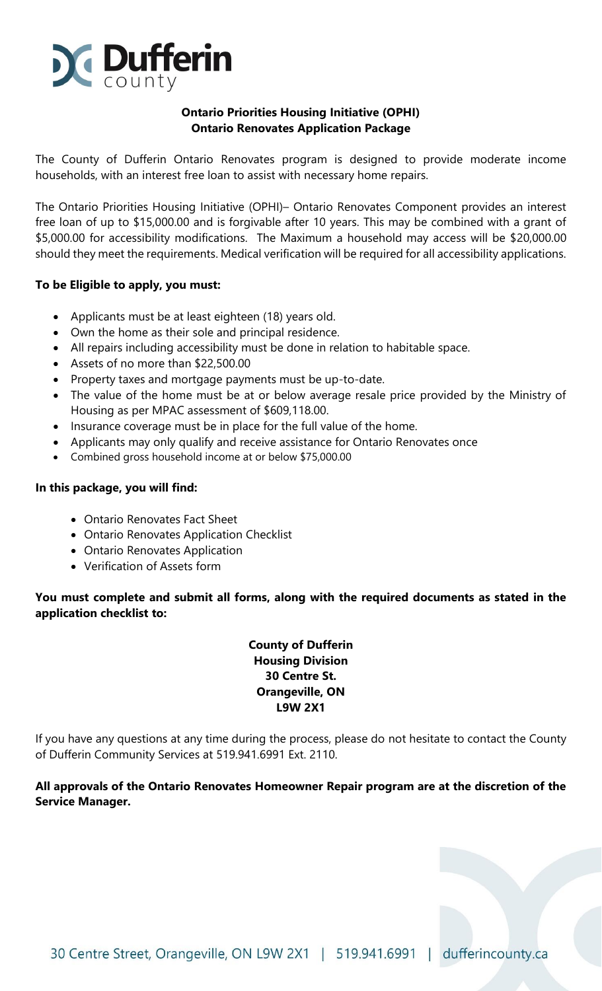

### **Ontario Priorities Housing Initiative (OPHI) Ontario Renovates Application Package**

The County of Dufferin Ontario Renovates program is designed to provide moderate income households, with an interest free loan to assist with necessary home repairs.

The Ontario Priorities Housing Initiative (OPHI)– Ontario Renovates Component provides an interest free loan of up to \$15,000.00 and is forgivable after 10 years. This may be combined with a grant of \$5,000.00 for accessibility modifications. The Maximum a household may access will be \$20,000.00 should they meet the requirements. Medical verification will be required for all accessibility applications.

### **To be Eligible to apply, you must:**

- Applicants must be at least eighteen (18) years old.
- Own the home as their sole and principal residence.
- All repairs including accessibility must be done in relation to habitable space.
- Assets of no more than \$22,500.00
- Property taxes and mortgage payments must be up-to-date.
- The value of the home must be at or below average resale price provided by the Ministry of Housing as per MPAC assessment of \$609,118.00.
- Insurance coverage must be in place for the full value of the home.
- Applicants may only qualify and receive assistance for Ontario Renovates once
- Combined gross household income at or below \$75,000.00

### **In this package, you will find:**

- Ontario Renovates Fact Sheet
- Ontario Renovates Application Checklist
- Ontario Renovates Application
- Verification of Assets form

### **You must complete and submit all forms, along with the required documents as stated in the application checklist to:**

**County of Dufferin Housing Division 30 Centre St. Orangeville, ON L9W 2X1**

If you have any questions at any time during the process, please do not hesitate to contact the County of Dufferin Community Services at 519.941.6991 Ext. 2110.

### **All approvals of the Ontario Renovates Homeowner Repair program are at the discretion of the Service Manager.**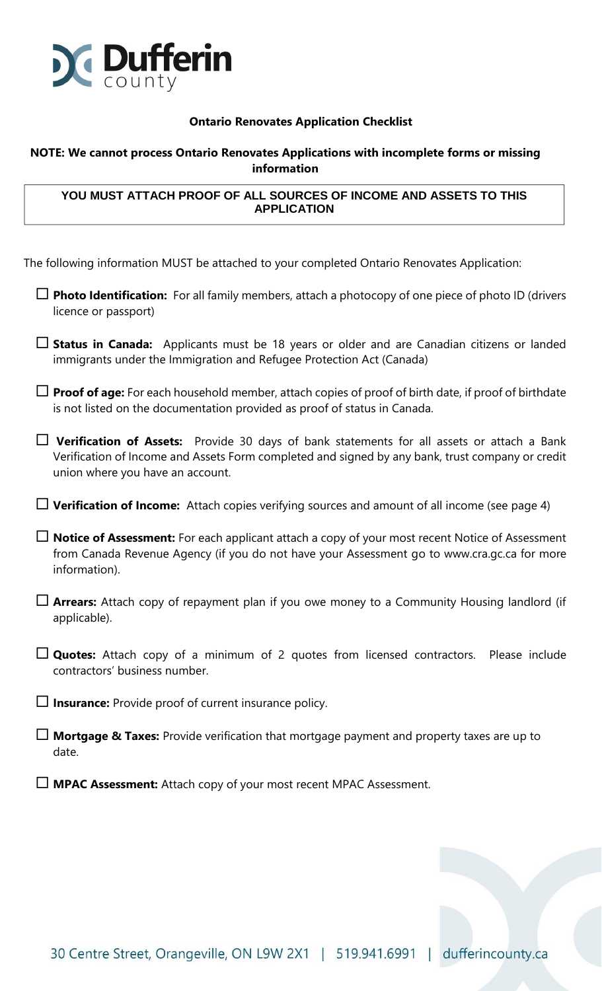

### **Ontario Renovates Application Checklist**

### **NOTE: We cannot process Ontario Renovates Applications with incomplete forms or missing information**

### **YOU MUST ATTACH PROOF OF ALL SOURCES OF INCOME AND ASSETS TO THIS APPLICATION**

The following information MUST be attached to your completed Ontario Renovates Application:

- **Photo Identification:** For all family members, attach a photocopy of one piece of photo ID (drivers licence or passport)
- **Status in Canada:** Applicants must be 18 years or older and are Canadian citizens or landed immigrants under the Immigration and Refugee Protection Act (Canada)
- **Proof of age:** For each household member, attach copies of proof of birth date, if proof of birthdate is not listed on the documentation provided as proof of status in Canada.
- **Verification of Assets:** Provide 30 days of bank statements for all assets or attach a Bank Verification of Income and Assets Form completed and signed by any bank, trust company or credit union where you have an account.
- **Verification of Income:** Attach copies verifying sources and amount of all income (see page 4)
- **Notice of Assessment:** For each applicant attach a copy of your most recent Notice of Assessment from Canada Revenue Agency (if you do not have your Assessment go to www.cra.gc.ca for more information).
- **Arrears:** Attach copy of repayment plan if you owe money to a Community Housing landlord (if applicable).
- **Quotes:** Attach copy of a minimum of 2 quotes from licensed contractors. Please include contractors' business number.
- **Insurance:** Provide proof of current insurance policy.
- **Mortgage & Taxes:** Provide verification that mortgage payment and property taxes are up to date.
- **MPAC Assessment:** Attach copy of your most recent MPAC Assessment.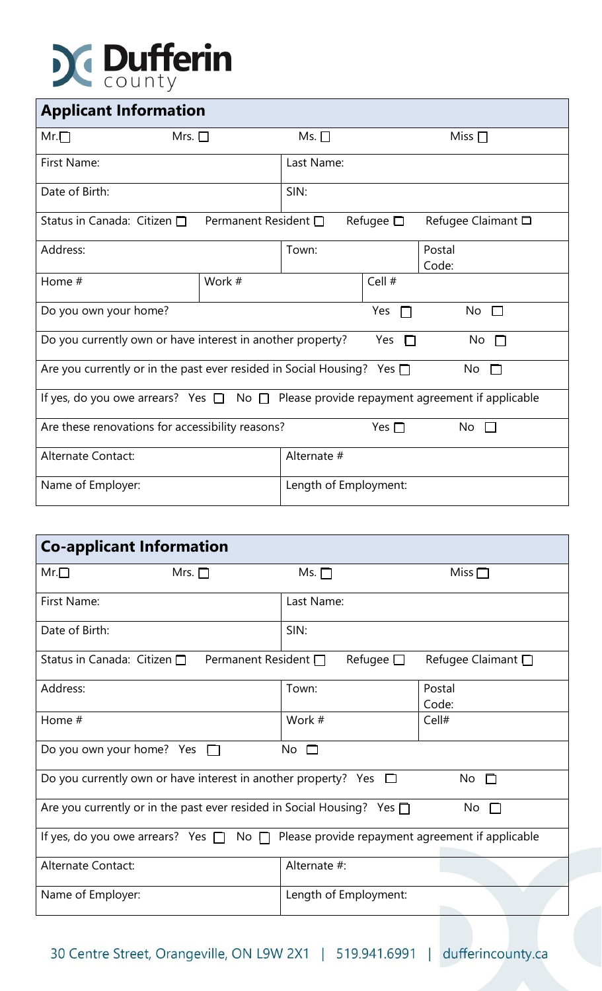# **Dufferin**

| <b>Applicant Information</b>                                                                      |                           |                           |                   |                    |  |
|---------------------------------------------------------------------------------------------------|---------------------------|---------------------------|-------------------|--------------------|--|
| $Mr.\Box$<br>Mrs. $\square$                                                                       |                           | Ms. $\Box$<br>Miss $\Box$ |                   |                    |  |
| First Name:                                                                                       |                           | Last Name:                |                   |                    |  |
| Date of Birth:                                                                                    |                           | SIN:                      |                   |                    |  |
| Status in Canada: Citizen $\Box$                                                                  | Permanent Resident $\Box$ |                           | Refugee $\square$ | Refugee Claimant □ |  |
| Address:                                                                                          |                           | Town:                     |                   | Postal<br>Code:    |  |
| Home #                                                                                            | Work #                    |                           | Cell #            |                    |  |
| Do you own your home?                                                                             |                           | Yes<br>$\Box$             | $No$ $\Box$       |                    |  |
| Do you currently own or have interest in another property?<br>Yes $\Box$<br>$No$ $\Box$           |                           |                           |                   |                    |  |
| Are you currently or in the past ever resided in Social Housing? Yes $\square$<br>No<br>$\Box$    |                           |                           |                   |                    |  |
| If yes, do you owe arrears? Yes $\Box$ No $\Box$ Please provide repayment agreement if applicable |                           |                           |                   |                    |  |
| Are these renovations for accessibility reasons?<br>No<br>Yes $\Box$                              |                           |                           |                   |                    |  |
| Alternate Contact:                                                                                | Alternate #               |                           |                   |                    |  |
| Name of Employer:                                                                                 |                           | Length of Employment:     |                   |                    |  |

| <b>Co-applicant Information</b>                                                                   |                   |                         |  |  |  |
|---------------------------------------------------------------------------------------------------|-------------------|-------------------------|--|--|--|
| $Mr.\Box$<br>Mrs. $\Box$                                                                          | Ms. $\Box$        | Miss $\Box$             |  |  |  |
| First Name:                                                                                       | Last Name:        |                         |  |  |  |
| Date of Birth:                                                                                    | SIN:              |                         |  |  |  |
| Status in Canada: Citizen $\square$<br>Permanent Resident $\Box$                                  | Refugee $\square$ | Refugee Claimant $\Box$ |  |  |  |
| Address:                                                                                          | Town:             | Postal<br>Code:         |  |  |  |
| Home #                                                                                            | Work #            | Cell#                   |  |  |  |
| Do you own your home? Yes □<br>No<br>□□                                                           |                   |                         |  |  |  |
| Do you currently own or have interest in another property? Yes $\Box$<br>$No$ $\Box$              |                   |                         |  |  |  |
| Are you currently or in the past ever resided in Social Housing? Yes $\Box$<br>No.                |                   |                         |  |  |  |
| If yes, do you owe arrears? Yes $\Box$ No $\Box$ Please provide repayment agreement if applicable |                   |                         |  |  |  |
| Alternate Contact:                                                                                | Alternate #:      |                         |  |  |  |
| Name of Employer:<br>Length of Employment:                                                        |                   |                         |  |  |  |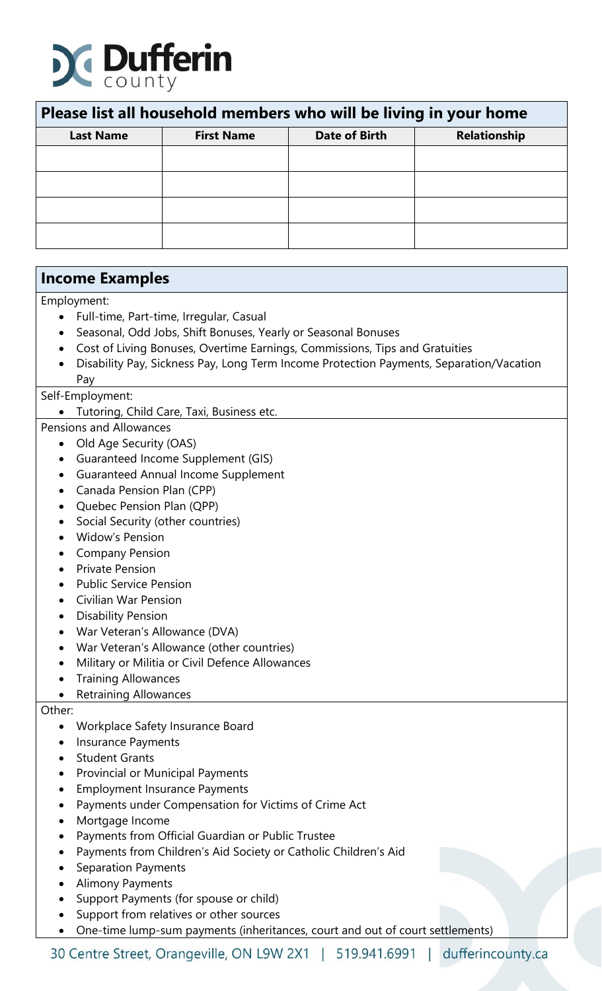

| Please list all household members who will be living in your home |                   |                      |                     |  |
|-------------------------------------------------------------------|-------------------|----------------------|---------------------|--|
| <b>Last Name</b>                                                  | <b>First Name</b> | <b>Date of Birth</b> | <b>Relationship</b> |  |
|                                                                   |                   |                      |                     |  |
|                                                                   |                   |                      |                     |  |
|                                                                   |                   |                      |                     |  |
|                                                                   |                   |                      |                     |  |

## **Income Examples**

Employment:

- Full-time, Part-time, Irregular, Casual
- Seasonal, Odd Jobs, Shift Bonuses, Yearly or Seasonal Bonuses
- Cost of Living Bonuses, Overtime Earnings, Commissions, Tips and Gratuities
- Disability Pay, Sickness Pay, Long Term Income Protection Payments, Separation/Vacation Pay

### Self-Employment:

• Tutoring, Child Care, Taxi, Business etc.

- Pensions and Allowances
	- Old Age Security (OAS)
	- Guaranteed Income Supplement (GIS)
	- Guaranteed Annual Income Supplement
	- Canada Pension Plan (CPP)
	- Quebec Pension Plan (QPP)
	- Social Security (other countries)
	- Widow's Pension
	- Company Pension
	- Private Pension
	- Public Service Pension
	- Civilian War Pension
	- Disability Pension
	- War Veteran's Allowance (DVA)
	- War Veteran's Allowance (other countries)
	- Military or Militia or Civil Defence Allowances
	- Training Allowances
	- Retraining Allowances

### Other:

- Workplace Safety Insurance Board
- Insurance Payments
- Student Grants
- Provincial or Municipal Payments
- Employment Insurance Payments
- Payments under Compensation for Victims of Crime Act
- Mortgage Income
- Payments from Official Guardian or Public Trustee
- Payments from Children's Aid Society or Catholic Children's Aid
- Separation Payments
- Alimony Payments
- Support Payments (for spouse or child)
- Support from relatives or other sources
- One-time lump-sum payments (inheritances, court and out of court settlements)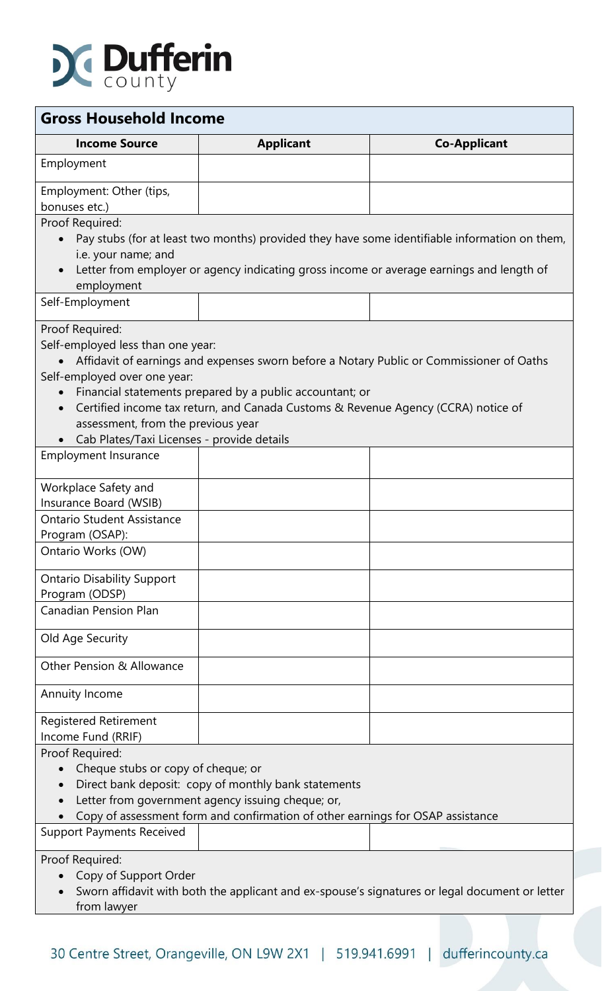

| <b>Gross Household Income</b>                                                                                                                                                                      |                                                                                                                                                                                             |                                                                                                                                                                                           |  |  |
|----------------------------------------------------------------------------------------------------------------------------------------------------------------------------------------------------|---------------------------------------------------------------------------------------------------------------------------------------------------------------------------------------------|-------------------------------------------------------------------------------------------------------------------------------------------------------------------------------------------|--|--|
| <b>Income Source</b>                                                                                                                                                                               | <b>Applicant</b>                                                                                                                                                                            | <b>Co-Applicant</b>                                                                                                                                                                       |  |  |
| Employment                                                                                                                                                                                         |                                                                                                                                                                                             |                                                                                                                                                                                           |  |  |
| Employment: Other (tips,<br>bonuses etc.)                                                                                                                                                          |                                                                                                                                                                                             |                                                                                                                                                                                           |  |  |
| Proof Required:<br>$\bullet$<br>i.e. your name; and<br>employment                                                                                                                                  |                                                                                                                                                                                             | Pay stubs (for at least two months) provided they have some identifiable information on them,<br>Letter from employer or agency indicating gross income or average earnings and length of |  |  |
| Self-Employment                                                                                                                                                                                    |                                                                                                                                                                                             |                                                                                                                                                                                           |  |  |
| Proof Required:<br>Self-employed less than one year:<br>Self-employed over one year:<br>$\bullet$<br>$\bullet$<br>assessment, from the previous year<br>Cab Plates/Taxi Licenses - provide details | Financial statements prepared by a public accountant; or<br>Certified income tax return, and Canada Customs & Revenue Agency (CCRA) notice of                                               | Affidavit of earnings and expenses sworn before a Notary Public or Commissioner of Oaths                                                                                                  |  |  |
| <b>Employment Insurance</b>                                                                                                                                                                        |                                                                                                                                                                                             |                                                                                                                                                                                           |  |  |
| Workplace Safety and<br>Insurance Board (WSIB)                                                                                                                                                     |                                                                                                                                                                                             |                                                                                                                                                                                           |  |  |
| <b>Ontario Student Assistance</b><br>Program (OSAP):                                                                                                                                               |                                                                                                                                                                                             |                                                                                                                                                                                           |  |  |
| Ontario Works (OW)                                                                                                                                                                                 |                                                                                                                                                                                             |                                                                                                                                                                                           |  |  |
| <b>Ontario Disability Support</b><br>Program (ODSP)                                                                                                                                                |                                                                                                                                                                                             |                                                                                                                                                                                           |  |  |
| <b>Canadian Pension Plan</b>                                                                                                                                                                       |                                                                                                                                                                                             |                                                                                                                                                                                           |  |  |
| Old Age Security                                                                                                                                                                                   |                                                                                                                                                                                             |                                                                                                                                                                                           |  |  |
| Other Pension & Allowance                                                                                                                                                                          |                                                                                                                                                                                             |                                                                                                                                                                                           |  |  |
| Annuity Income                                                                                                                                                                                     |                                                                                                                                                                                             |                                                                                                                                                                                           |  |  |
| <b>Registered Retirement</b><br>Income Fund (RRIF)                                                                                                                                                 |                                                                                                                                                                                             |                                                                                                                                                                                           |  |  |
| Proof Required:<br>Cheque stubs or copy of cheque; or<br>$\bullet$<br>$\bullet$                                                                                                                    | Direct bank deposit: copy of monthly bank statements<br>Letter from government agency issuing cheque; or,<br>Copy of assessment form and confirmation of other earnings for OSAP assistance |                                                                                                                                                                                           |  |  |
| <b>Support Payments Received</b>                                                                                                                                                                   |                                                                                                                                                                                             |                                                                                                                                                                                           |  |  |
| Proof Required:<br>Copy of Support Order<br>from lawyer                                                                                                                                            |                                                                                                                                                                                             | Sworn affidavit with both the applicant and ex-spouse's signatures or legal document or letter                                                                                            |  |  |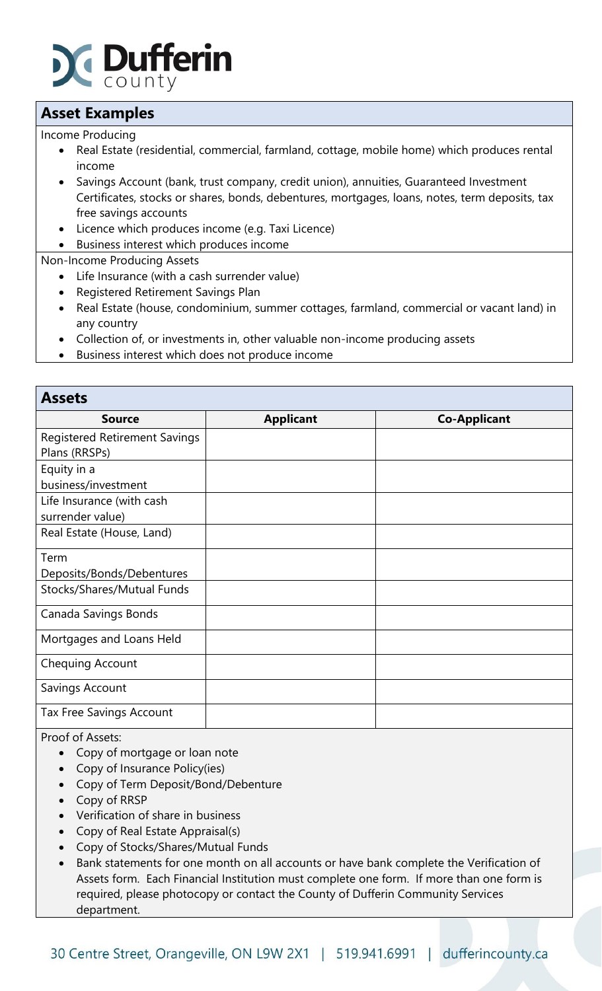

## **Asset Examples**

Income Producing

- Real Estate (residential, commercial, farmland, cottage, mobile home) which produces rental income
- Savings Account (bank, trust company, credit union), annuities, Guaranteed Investment Certificates, stocks or shares, bonds, debentures, mortgages, loans, notes, term deposits, tax free savings accounts
- Licence which produces income (e.g. Taxi Licence)
- Business interest which produces income

Non-Income Producing Assets

- Life Insurance (with a cash surrender value)
- Registered Retirement Savings Plan
- Real Estate (house, condominium, summer cottages, farmland, commercial or vacant land) in any country
- Collection of, or investments in, other valuable non-income producing assets
- Business interest which does not produce income

| <b>Assets</b>                        |                  |                     |
|--------------------------------------|------------------|---------------------|
| <b>Source</b>                        | <b>Applicant</b> | <b>Co-Applicant</b> |
| <b>Registered Retirement Savings</b> |                  |                     |
| Plans (RRSPs)                        |                  |                     |
| Equity in a                          |                  |                     |
| business/investment                  |                  |                     |
| Life Insurance (with cash            |                  |                     |
| surrender value)                     |                  |                     |
| Real Estate (House, Land)            |                  |                     |
| Term                                 |                  |                     |
| Deposits/Bonds/Debentures            |                  |                     |
| Stocks/Shares/Mutual Funds           |                  |                     |
| Canada Savings Bonds                 |                  |                     |
| Mortgages and Loans Held             |                  |                     |
| Chequing Account                     |                  |                     |
| Savings Account                      |                  |                     |
| <b>Tax Free Savings Account</b>      |                  |                     |

Proof of Assets:

- Copy of mortgage or loan note
- Copy of Insurance Policy(ies)
- Copy of Term Deposit/Bond/Debenture
- Copy of RRSP
- Verification of share in business
- Copy of Real Estate Appraisal(s)
- Copy of Stocks/Shares/Mutual Funds
- Bank statements for one month on all accounts or have bank complete the Verification of Assets form. Each Financial Institution must complete one form. If more than one form is required, please photocopy or contact the County of Dufferin Community Services department.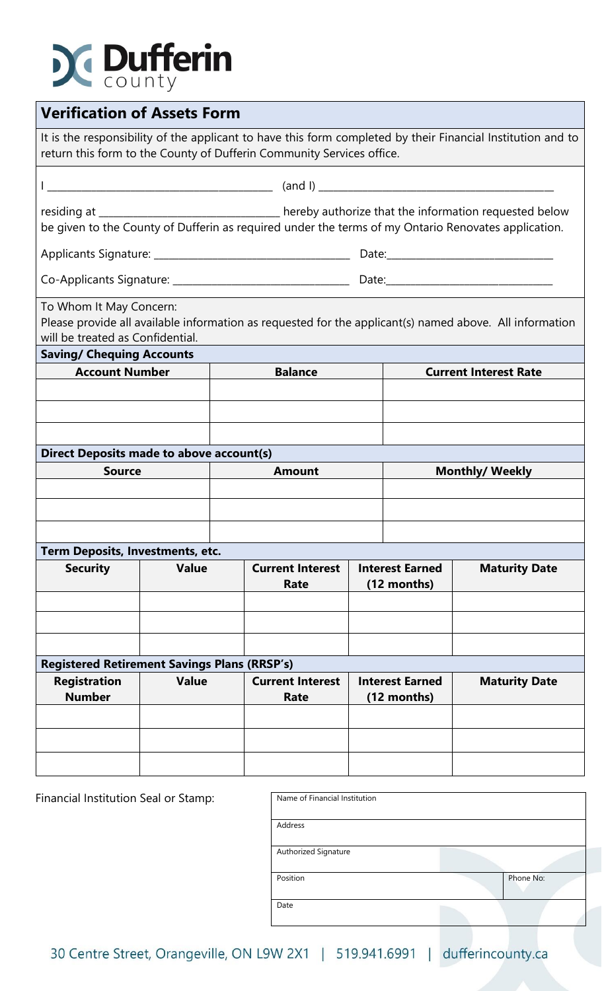## **Dufferin**

| <b>Verification of Assets Form</b>                                                                                                                                                   |              |                                 |                |  |                                                               |                                                                                                                                                                                                            |
|--------------------------------------------------------------------------------------------------------------------------------------------------------------------------------------|--------------|---------------------------------|----------------|--|---------------------------------------------------------------|------------------------------------------------------------------------------------------------------------------------------------------------------------------------------------------------------------|
| It is the responsibility of the applicant to have this form completed by their Financial Institution and to<br>return this form to the County of Dufferin Community Services office. |              |                                 |                |  |                                                               |                                                                                                                                                                                                            |
|                                                                                                                                                                                      |              |                                 |                |  |                                                               |                                                                                                                                                                                                            |
|                                                                                                                                                                                      |              |                                 |                |  |                                                               | residing at _________________________________ hereby authorize that the information requested below<br>be given to the County of Dufferin as required under the terms of my Ontario Renovates application. |
|                                                                                                                                                                                      |              |                                 |                |  |                                                               |                                                                                                                                                                                                            |
|                                                                                                                                                                                      |              |                                 |                |  |                                                               |                                                                                                                                                                                                            |
| To Whom It May Concern:<br>will be treated as Confidential.<br><b>Saving/ Chequing Accounts</b>                                                                                      |              |                                 |                |  |                                                               | Please provide all available information as requested for the applicant(s) named above. All information                                                                                                    |
| <b>Account Number</b>                                                                                                                                                                |              |                                 | <b>Balance</b> |  |                                                               | <b>Current Interest Rate</b>                                                                                                                                                                               |
|                                                                                                                                                                                      |              |                                 |                |  |                                                               |                                                                                                                                                                                                            |
|                                                                                                                                                                                      |              |                                 |                |  |                                                               |                                                                                                                                                                                                            |
|                                                                                                                                                                                      |              |                                 |                |  |                                                               |                                                                                                                                                                                                            |
| <b>Direct Deposits made to above account(s)</b>                                                                                                                                      |              |                                 |                |  |                                                               |                                                                                                                                                                                                            |
| <b>Source</b>                                                                                                                                                                        |              |                                 | <b>Amount</b>  |  |                                                               | <b>Monthly/ Weekly</b>                                                                                                                                                                                     |
|                                                                                                                                                                                      |              |                                 |                |  |                                                               |                                                                                                                                                                                                            |
|                                                                                                                                                                                      |              |                                 |                |  |                                                               |                                                                                                                                                                                                            |
|                                                                                                                                                                                      |              |                                 |                |  |                                                               |                                                                                                                                                                                                            |
| Term Deposits, Investments, etc.                                                                                                                                                     |              |                                 |                |  |                                                               |                                                                                                                                                                                                            |
| <b>Security</b>                                                                                                                                                                      | <b>Value</b> | <b>Current Interest</b><br>Rate |                |  | <b>Interest Earned</b><br>(12 months)                         | <b>Maturity Date</b>                                                                                                                                                                                       |
|                                                                                                                                                                                      |              |                                 |                |  |                                                               |                                                                                                                                                                                                            |
|                                                                                                                                                                                      |              |                                 |                |  |                                                               |                                                                                                                                                                                                            |
|                                                                                                                                                                                      |              |                                 |                |  |                                                               |                                                                                                                                                                                                            |
| <b>Registered Retirement Savings Plans (RRSP's)</b>                                                                                                                                  |              |                                 |                |  |                                                               |                                                                                                                                                                                                            |
| <b>Registration</b><br><b>Number</b>                                                                                                                                                 | <b>Value</b> | <b>Current Interest</b><br>Rate |                |  | <b>Interest Earned</b><br><b>Maturity Date</b><br>(12 months) |                                                                                                                                                                                                            |
|                                                                                                                                                                                      |              |                                 |                |  |                                                               |                                                                                                                                                                                                            |
|                                                                                                                                                                                      |              |                                 |                |  |                                                               |                                                                                                                                                                                                            |
|                                                                                                                                                                                      |              |                                 |                |  |                                                               |                                                                                                                                                                                                            |
|                                                                                                                                                                                      |              |                                 |                |  |                                                               |                                                                                                                                                                                                            |

Financial Institution Seal or Stamp:

| Name of Financial Institution |           |
|-------------------------------|-----------|
|                               |           |
| Address                       |           |
|                               |           |
| Authorized Signature          |           |
|                               |           |
| Position                      | Phone No: |
|                               |           |
| Date                          |           |
|                               |           |